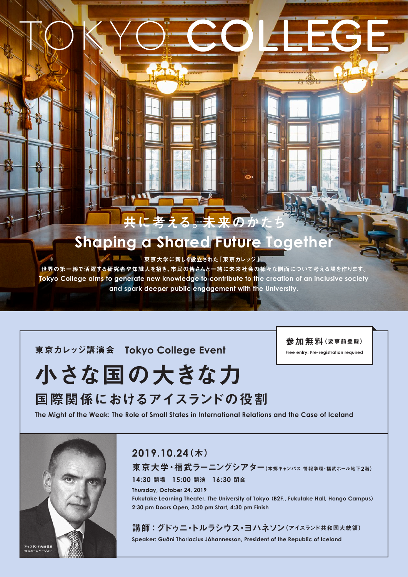## える。未来のか

## **Shaping a Shared Future Togeth**

東京大学に新しく設立された「東京カレッジ」。

世界の第一線で活躍する研究者や知識人を招き、市民の皆さんと一緒に未来社会の様々な側面について考える場を作ります。 Tokyo College aims to generate new knowledge to contribute to the creation of an inclusive society and spark deeper public engagement with the University.

**東京カレッジ講演会 Tokyo College Event** 

参加無料(要事前登録)

**Free entry: Pre-registration required** 

# 小さな国の大きな力 国際関係におけるアイスランドの役割





### (木(**2019.10.24**

東京大学・福武ラーニングシアター(本郷キャンパス 情報学環·福武ホール地下2階) 閉会 **16:30** 開演 **15:00** 開場 **14:30**

**7hursday, October 24, 2019** Fukutake Learning Theater, The University of Tokyo (B2F., Fukutake Hall, Hongo Campus) 2:30 pm Doors Open, 3:00 pm Start, 4:30 pm Finish

## 講師:グドゥニ・トルラシウス・ヨハネソン(アイスランド共和国大統領)

**Speaker: Guðni Thorlacius Jóhannesson, President of the Republic of Iceland**